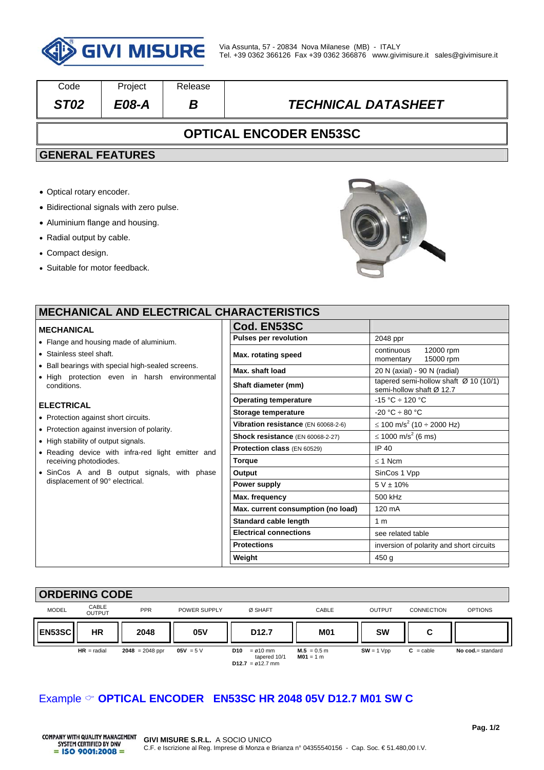

| Code                          | Project      | Release |                            |  |  |
|-------------------------------|--------------|---------|----------------------------|--|--|
| ST <sub>02</sub>              | <i>E08-A</i> | B       | <b>TECHNICAL DATASHEET</b> |  |  |
| <b>OPTICAL ENCODER EN53SC</b> |              |         |                            |  |  |
| <b>GENERAL FEATURES</b>       |              |         |                            |  |  |

- Optical rotary encoder.
- Bidirectional signals with zero pulse.
- Aluminium flange and housing.
- Radial output by cable.
- Compact design.
- Suitable for motor feedback.



| <b>MECHANICAL AND ELECTRICAL CHARACTERISTICS</b>                            |                                     |                                                                   |  |  |
|-----------------------------------------------------------------------------|-------------------------------------|-------------------------------------------------------------------|--|--|
| <b>MECHANICAL</b>                                                           | Cod. EN53SC                         |                                                                   |  |  |
| • Flange and housing made of aluminium.                                     | <b>Pulses per revolution</b>        | 2048 ppr                                                          |  |  |
| • Stainless steel shaft.                                                    | Max. rotating speed                 | 12000 rpm<br>continuous<br>15000 rpm<br>momentary                 |  |  |
| • Ball bearings with special high-sealed screens.                           | Max. shaft load                     | 20 N (axial) - 90 N (radial)                                      |  |  |
| . High protection even in harsh environmental<br>conditions.                | Shaft diameter (mm)                 | tapered semi-hollow shaft Ø 10 (10/1)<br>semi-hollow shaft Ø 12.7 |  |  |
| <b>ELECTRICAL</b>                                                           | <b>Operating temperature</b>        | $-15 °C \div 120 °C$                                              |  |  |
|                                                                             | Storage temperature                 | $-20 °C \div 80 °C$                                               |  |  |
| • Protection against short circuits.                                        | Vibration resistance (EN 60068-2-6) | ≤ 100 m/s <sup>2</sup> (10 ÷ 2000 Hz)                             |  |  |
| • Protection against inversion of polarity.                                 | Shock resistance (EN 60068-2-27)    | ≤ 1000 m/s <sup>2</sup> (6 ms)                                    |  |  |
| • High stability of output signals.                                         | <b>Protection class (EN 60529)</b>  | IP 40                                                             |  |  |
| • Reading device with infra-red light emitter and<br>receiving photodiodes. | <b>Torque</b>                       | $\leq$ 1 Ncm                                                      |  |  |
| • SinCos A and B output signals, with phase                                 | Output                              | SinCos 1 Vpp                                                      |  |  |
| displacement of 90° electrical.                                             | Power supply                        | $5 V \pm 10\%$                                                    |  |  |
|                                                                             | Max. frequency                      | 500 kHz                                                           |  |  |
|                                                                             | Max. current consumption (no load)  | $120 \text{ mA}$                                                  |  |  |
|                                                                             | <b>Standard cable length</b>        | 1 <sub>m</sub>                                                    |  |  |
|                                                                             | <b>Electrical connections</b>       | see related table                                                 |  |  |
|                                                                             | <b>Protections</b>                  | inversion of polarity and short circuits                          |  |  |
|                                                                             | Weight                              | 450 g                                                             |  |  |
|                                                                             |                                     |                                                                   |  |  |

| <b>ORDERING CODE</b> |                        |                   |              |                                                                             |                              |               |                    |                   |
|----------------------|------------------------|-------------------|--------------|-----------------------------------------------------------------------------|------------------------------|---------------|--------------------|-------------------|
| <b>MODEL</b>         | CABLE<br><b>OUTPUT</b> | <b>PPR</b>        | POWER SUPPLY | Ø SHAFT                                                                     | CABLE                        | <b>OUTPUT</b> | <b>CONNECTION</b>  | <b>OPTIONS</b>    |
| <b>EN53SC</b>        | <b>HR</b>              | 2048              | 05V          | D <sub>12.7</sub>                                                           | <b>M01</b>                   | <b>SW</b>     | C                  |                   |
|                      | $HR = radial$          | $2048 = 2048$ ppr | $05V = 5V$   | D10<br>$= \varnothing 10$ mm<br>tapered 10/1<br>$D12.7 = \emptyset 12.7$ mm | $M.5 = 0.5$ m<br>$M01 = 1 m$ | $SW = 1 Vpp$  | $C = \text{cable}$ | No cod.= standard |

## Example **OPTICAL ENCODER EN53SC HR 2048 05V D12.7 M01 SW C**